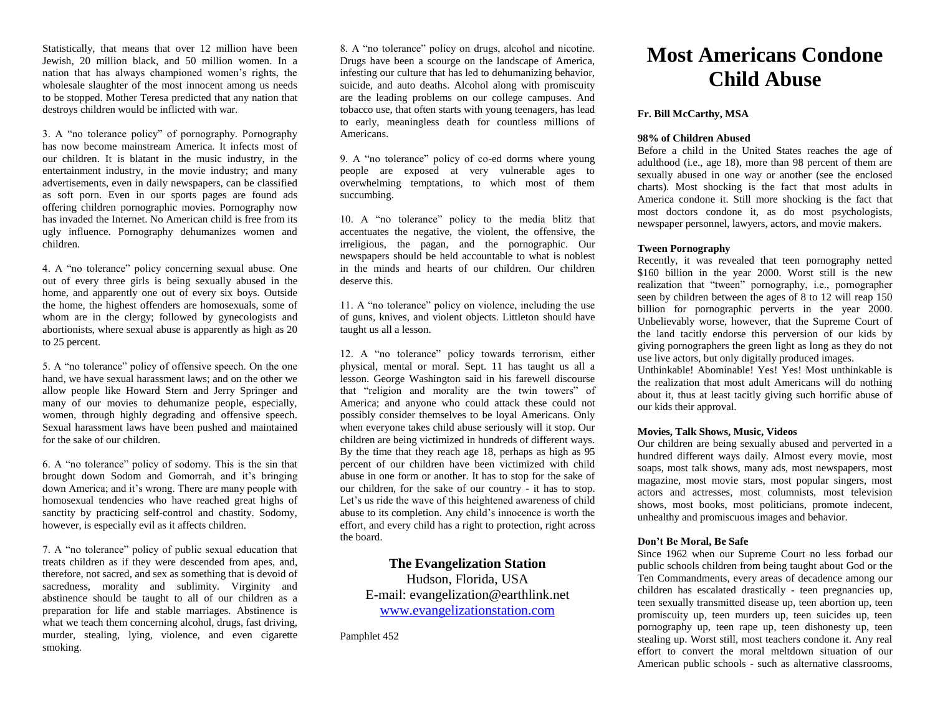Statistically, that means that over 12 million have been Jewish, 20 million black, and 50 million women. In a nation that has always championed women's rights, the wholesale slaughter of the most innocent among us needs to be stopped. Mother Teresa predicted that any nation that destroys children would be inflicted with war.

3. A "no tolerance policy" of pornography. Pornography has now become mainstream America. It infects most of our children. It is blatant in the music industry, in the entertainment industry, in the movie industry; and many advertisements, even in daily newspapers, can be classified as soft porn. Even in our sports pages are found ads offering children pornographic movies. Pornography now has invaded the Internet. No American child is free from its ugly influence. Pornography dehumanizes women and children.

4. A "no tolerance" policy concerning sexual abuse. One out of every three girls is being sexually abused in the home, and apparently one out of every six boys. Outside the home, the highest offenders are homosexuals, some of whom are in the clergy; followed by gynecologists and abortionists, where sexual abuse is apparently as high as 20 to 25 percent.

5. A "no tolerance" policy of offensive speech. On the one hand, we have sexual harassment laws; and on the other we allow people like Howard Stern and Jerry Springer and many of our movies to dehumanize people, especially, women, through highly degrading and offensive speech. Sexual harassment laws have been pushed and maintained for the sake of our children.

6. A "no tolerance" policy of sodomy. This is the sin that brought down Sodom and Gomorrah, and it's bringing down America; and it's wrong. There are many people with homosexual tendencies who have reached great highs of sanctity by practicing self-control and chastity. Sodomy, however, is especially evil as it affects children.

7. A "no tolerance" policy of public sexual education that treats children as if they were descended from apes, and, therefore, not sacred, and sex as something that is devoid of sacredness, morality and sublimity. Virginity and abstinence should be taught to all of our children as a preparation for life and stable marriages. Abstinence is what we teach them concerning alcohol, drugs, fast driving, murder, stealing, lying, violence, and even cigarette smoking.

8. A "no tolerance" policy on drugs, alcohol and nicotine. Drugs have been a scourge on the landscape of America, infesting our culture that has led to dehumanizing behavior, suicide, and auto deaths. Alcohol along with promiscuity are the leading problems on our college campuses. And tobacco use, that often starts with young teenagers, has lead to early, meaningless death for countless millions of Americans.

9. A "no tolerance" policy of co-ed dorms where young people are exposed at very vulnerable ages to overwhelming temptations, to which most of them succumbing.

10. A "no tolerance" policy to the media blitz that accentuates the negative, the violent, the offensive, the irreligious, the pagan, and the pornographic. Our newspapers should be held accountable to what is noblest in the minds and hearts of our children. Our children deserve this.

11. A "no tolerance" policy on violence, including the use of guns, knives, and violent objects. Littleton should have taught us all a lesson.

12. A "no tolerance" policy towards terrorism, either physical, mental or moral. Sept. 11 has taught us all a lesson. George Washington said in his farewell discourse that "religion and morality are the twin towers" of America; and anyone who could attack these could not possibly consider themselves to be loyal Americans. Only when everyone takes child abuse seriously will it stop. Our children are being victimized in hundreds of different ways. By the time that they reach age 18, perhaps as high as 95 percent of our children have been victimized with child abuse in one form or another. It has to stop for the sake of our children, for the sake of our country - it has to stop. Let's us ride the wave of this heightened awareness of child abuse to its completion. Any child's innocence is worth the effort, and every child has a right to protection, right across the board.

# **The Evangelization Station**

Hudson, Florida, USA E-mail: evangelization@earthlink.net [www.evangelizationstation.com](http://www.pjpiisoe.org/)

Pamphlet 452

# **Most Americans Condone Child Abuse**

# **Fr. Bill McCarthy, MSA**

#### **98% of Children Abused**

Before a child in the United States reaches the age of adulthood (i.e., age 18), more than 98 percent of them are sexually abused in one way or another (see the enclosed charts). Most shocking is the fact that most adults in America condone it. Still more shocking is the fact that most doctors condone it, as do most psychologists, newspaper personnel, lawyers, actors, and movie makers.

#### **Tween Pornography**

Recently, it was revealed that teen pornography netted \$160 billion in the year 2000. Worst still is the new realization that "tween" pornography, i.e., pornographer seen by children between the ages of 8 to 12 will reap 150 billion for pornographic perverts in the year 2000. Unbelievably worse, however, that the Supreme Court of the land tacitly endorse this perversion of our kids by giving pornographers the green light as long as they do not use live actors, but only digitally produced images.

Unthinkable! Abominable! Yes! Yes! Most unthinkable is the realization that most adult Americans will do nothing about it, thus at least tacitly giving such horrific abuse of our kids their approval.

#### **Movies, Talk Shows, Music, Videos**

Our children are being sexually abused and perverted in a hundred different ways daily. Almost every movie, most soaps, most talk shows, many ads, most newspapers, most magazine, most movie stars, most popular singers, most actors and actresses, most columnists, most television shows, most books, most politicians, promote indecent, unhealthy and promiscuous images and behavior.

#### **Don't Be Moral, Be Safe**

Since 1962 when our Supreme Court no less forbad our public schools children from being taught about God or the Ten Commandments, every areas of decadence among our children has escalated drastically - teen pregnancies up, teen sexually transmitted disease up, teen abortion up, teen promiscuity up, teen murders up, teen suicides up, teen pornography up, teen rape up, teen dishonesty up, teen stealing up. Worst still, most teachers condone it. Any real effort to convert the moral meltdown situation of our American public schools - such as alternative classrooms,